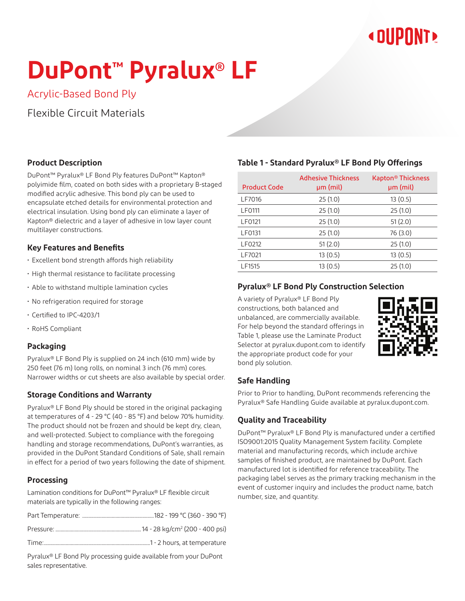## **« DUPONT!**

# **DuPont™ Pyralux® LF**

Acrylic-Based Bond Ply

Flexible Circuit Materials

#### **Product Description**

DuPont™ Pyralux® LF Bond Ply features DuPont™ Kapton® polyimide film, coated on both sides with a proprietary B-staged modified acrylic adhesive. This bond ply can be used to encapsulate etched details for environmental protection and electrical insulation. Using bond ply can eliminate a layer of Kapton® dielectric and a layer of adhesive in low layer count multilayer constructions.

#### **Key Features and Benefits**

- Excellent bond strength affords high reliability
- High thermal resistance to facilitate processing
- Able to withstand multiple lamination cycles
- No refrigeration required for storage
- Certified to IPC-4203/1
- RoHS Compliant

#### **Packaging**

Pyralux® LF Bond Ply is supplied on 24 inch (610 mm) wide by 250 feet (76 m) long rolls, on nominal 3 inch (76 mm) cores. Narrower widths or cut sheets are also available by special order.

#### **Storage Conditions and Warranty**

Pyralux® LF Bond Ply should be stored in the original packaging at temperatures of 4 - 29 °C (40 - 85 °F) and below 70% humidity. The product should not be frozen and should be kept dry, clean, and well-protected. Subject to compliance with the foregoing handling and storage recommendations, DuPont's warranties, as provided in the DuPont Standard Conditions of Sale, shall remain in effect for a period of two years following the date of shipment.

#### **Processing**

Lamination conditions for DuPont™ Pyralux® LF flexible circuit materials are typically in the following ranges:

Pyralux® LF Bond Ply processing guide available from your DuPont sales representative.

#### **Table 1 - Standard Pyralux® LF Bond Ply Offerings**

| <b>Product Code</b> | <b>Adhesive Thickness</b><br>$µm$ (mil) | Kapton® Thickness<br>µm (mil) |
|---------------------|-----------------------------------------|-------------------------------|
| LF7016              | 25(1.0)                                 | 13(0.5)                       |
| LF0111              | 25(1.0)                                 | 25(1.0)                       |
| LF0121              | 25(1.0)                                 | 51(2.0)                       |
| LF0131              | 25(1.0)                                 | 76 (3.0)                      |
| LF0212              | 51(2.0)                                 | 25(1.0)                       |
| LF7021              | 13(0.5)                                 | 13(0.5)                       |
| LF1515              | 13(0.5)                                 | 25(1.0)                       |

#### **Pyralux® LF Bond Ply Construction Selection**

A variety of Pyralux® LF Bond Ply constructions, both balanced and unbalanced, are commercially available. For help beyond the standard offerings in Table 1, please use the Laminate Product Selector at pyralux.dupont.com to identify the appropriate product code for your bond ply solution.



#### **Safe Handling**

Prior to Prior to handling, DuPont recommends referencing the Pyralux® Safe Handling Guide available at pyralux.dupont.com.

#### **Quality and Traceability**

DuPont™ Pyralux® LF Bond Ply is manufactured under a certified ISO9001:2015 Quality Management System facility. Complete material and manufacturing records, which include archive samples of finished product, are maintained by DuPont. Each manufactured lot is identified for reference traceability. The packaging label serves as the primary tracking mechanism in the event of customer inquiry and includes the product name, batch number, size, and quantity.